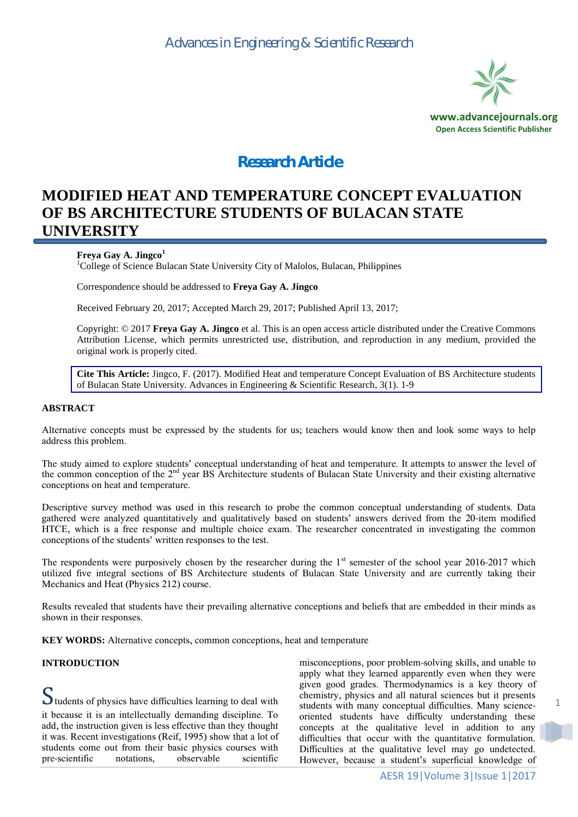

# *Research Article*

# **MODIFIED HEAT AND TEMPERATURE CONCEPT EVALUATION OF BS ARCHITECTURE STUDENTS OF BULACAN STATE UNIVERSITY**

## **Freya Gay A. Jingco<sup>1</sup>**

<sup>1</sup>College of Science Bulacan State University City of Malolos, Bulacan, Philippines

Correspondence should be addressed to **Freya Gay A. Jingco**

Received February 20, 2017; Accepted March 29, 2017; Published April 13, 2017;

Copyright: © 2017 **Freya Gay A. Jingco** et al. This is an open access article distributed under the Creative Commons Attribution License, which permits unrestricted use, distribution, and reproduction in any medium, provided the original work is properly cited.

**Cite This Article:** Jingco, F. (2017). Modified Heat and temperature Concept Evaluation of BS Architecture students of Bulacan State University. Advances in Engineering & Scientific Research, 3(1). 1-9

#### **ABSTRACT**

Alternative concepts must be expressed by the students for us; teachers would know then and look some ways to help address this problem.

The study aimed to explore students' conceptual understanding of heat and temperature. It attempts to answer the level of the common conception of the 2<sup>nd</sup> year BS Architecture students of Bulacan State University and their existing alternative conceptions on heat and temperature.

Descriptive survey method was used in this research to probe the common conceptual understanding of students. Data gathered were analyzed quantitatively and qualitatively based on students' answers derived from the 20-item modified HTCE, which is a free response and multiple choice exam. The researcher concentrated in investigating the common conceptions of the students' written responses to the test.

The respondents were purposively chosen by the researcher during the 1<sup>st</sup> semester of the school year 2016-2017 which utilized five integral sections of BS Architecture students of Bulacan State University and are currently taking their Mechanics and Heat (Physics 212) course.

Results revealed that students have their prevailing alternative conceptions and beliefs that are embedded in their minds as shown in their responses.

**KEY WORDS:** Alternative concepts, common conceptions, heat and temperature

#### **INTRODUCTION**

Students of physics have difficulties learning to deal with it because it is an intellectually demanding discipline. To add, the instruction given is less effective than they thought it was. Recent investigations (Reif, 1995) show that a lot of students come out from their basic physics courses with<br>pre-scientific notations, observable scientific pre-scientific notations, observable scientific

misconceptions, poor problem-solving skills, and unable to apply what they learned apparently even when they were given good grades. Thermodynamics is a key theory of chemistry, physics and all natural sciences but it presents students with many conceptual difficulties. Many scienceoriented students have difficulty understanding these concepts at the qualitative level in addition to any difficulties that occur with the quantitative formulation. Difficulties at the qualitative level may go undetected. However, because a student's superficial knowledge of

1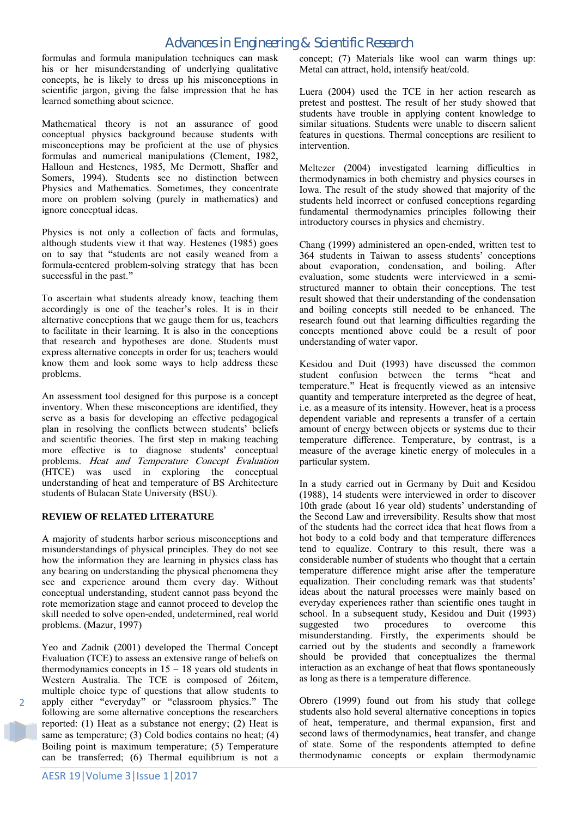formulas and formula manipulation techniques can mask his or her misunderstanding of underlying qualitative concepts, he is likely to dress up his misconceptions in scientific jargon, giving the false impression that he has learned something about science.

Mathematical theory is not an assurance of good conceptual physics background because students with misconceptions may be proficient at the use of physics formulas and numerical manipulations (Clement, 1982, Halloun and Hestenes, 1985, Mc Dermott, Shaffer and Somers, 1994). Students see no distinction between Physics and Mathematics. Sometimes, they concentrate more on problem solving (purely in mathematics) and ignore conceptual ideas.

Physics is not only a collection of facts and formulas, although students view it that way. Hestenes (1985) goes on to say that "students are not easily weaned from a formula-centered problem-solving strategy that has been successful in the past."

To ascertain what students already know, teaching them accordingly is one of the teacher's roles. It is in their alternative conceptions that we gauge them for us, teachers to facilitate in their learning. It is also in the conceptions that research and hypotheses are done. Students must express alternative concepts in order for us; teachers would know them and look some ways to help address these problems.

An assessment tool designed for this purpose is a concept inventory. When these misconceptions are identified, they serve as a basis for developing an effective pedagogical plan in resolving the conflicts between students' beliefs and scientific theories. The first step in making teaching more effective is to diagnose students' conceptual problems. Heat and Temperature Concept Evaluation (HTCE) was used in exploring the conceptual understanding of heat and temperature of BS Architecture students of Bulacan State University (BSU).

#### **REVIEW OF RELATED LITERATURE**

A majority of students harbor serious misconceptions and misunderstandings of physical principles. They do not see how the information they are learning in physics class has any bearing on understanding the physical phenomena they see and experience around them every day. Without conceptual understanding, student cannot pass beyond the rote memorization stage and cannot proceed to develop the skill needed to solve open-ended, undetermined, real world problems. (Mazur, 1997)

Yeo and Zadnik (2001) developed the Thermal Concept Evaluation (TCE) to assess an extensive range of beliefs on thermodynamics concepts in  $15 - 18$  years old students in Western Australia. The TCE is composed of 26item, multiple choice type of questions that allow students to apply either "everyday" or "classroom physics." The following are some alternative conceptions the researchers reported: (1) Heat as a substance not energy; (2) Heat is same as temperature; (3) Cold bodies contains no heat; (4) Boiling point is maximum temperature; (5) Temperature can be transferred; (6) Thermal equilibrium is not a

concept; (7) Materials like wool can warm things up: Metal can attract, hold, intensify heat/cold.

Luera (2004) used the TCE in her action research as pretest and posttest. The result of her study showed that students have trouble in applying content knowledge to similar situations. Students were unable to discern salient features in questions. Thermal conceptions are resilient to intervention.

Meltezer (2004) investigated learning difficulties in thermodynamics in both chemistry and physics courses in Iowa. The result of the study showed that majority of the students held incorrect or confused conceptions regarding fundamental thermodynamics principles following their introductory courses in physics and chemistry.

Chang (1999) administered an open-ended, written test to 364 students in Taiwan to assess students' conceptions about evaporation, condensation, and boiling. After evaluation, some students were interviewed in a semistructured manner to obtain their conceptions. The test result showed that their understanding of the condensation and boiling concepts still needed to be enhanced. The research found out that learning difficulties regarding the concepts mentioned above could be a result of poor understanding of water vapor.

Kesidou and Duit (1993) have discussed the common student confusion between the terms "heat and temperature." Heat is frequently viewed as an intensive quantity and temperature interpreted as the degree of heat, i.e. as a measure of its intensity. However, heat is a process dependent variable and represents a transfer of a certain amount of energy between objects or systems due to their temperature difference. Temperature, by contrast, is a measure of the average kinetic energy of molecules in a particular system.

In a study carried out in Germany by Duit and Kesidou (1988), 14 students were interviewed in order to discover 10th grade (about 16 year old) students' understanding of the Second Law and irreversibility. Results show that most of the students had the correct idea that heat flows from a hot body to a cold body and that temperature differences tend to equalize. Contrary to this result, there was a considerable number of students who thought that a certain temperature difference might arise after the temperature equalization. Their concluding remark was that students' ideas about the natural processes were mainly based on everyday experiences rather than scientific ones taught in school. In a subsequent study, Kesidou and Duit (1993) suggested two procedures to overcome this misunderstanding. Firstly, the experiments should be carried out by the students and secondly a framework should be provided that conceptualizes the thermal interaction as an exchange of heat that flows spontaneously as long as there is a temperature difference.

Obrero (1999) found out from his study that college students also hold several alternative conceptions in topics of heat, temperature, and thermal expansion, first and second laws of thermodynamics, heat transfer, and change of state. Some of the respondents attempted to define thermodynamic concepts or explain thermodynamic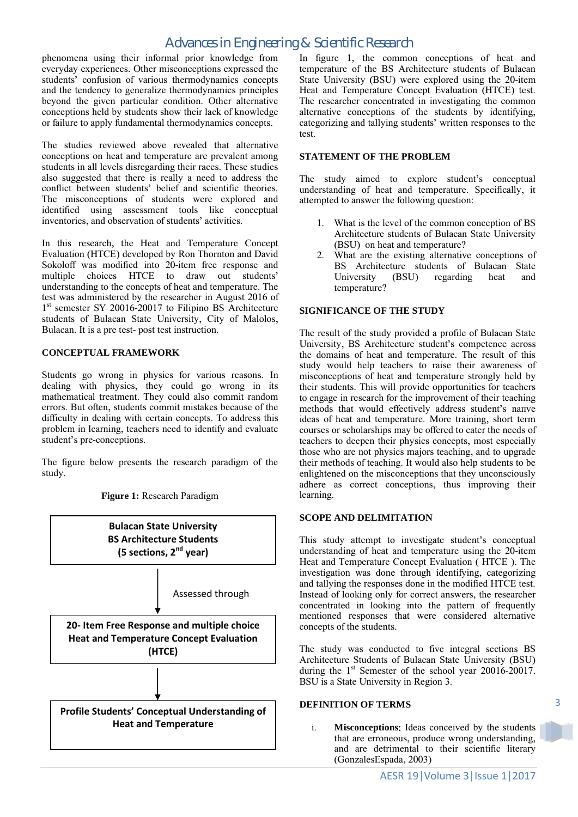phenomena using their informal prior knowledge from everyday experiences. Other misconceptions expressed the students' confusion of various thermodynamics concepts and the tendency to generalize thermodynamics principles beyond the given particular condition. Other alternative conceptions held by students show their lack of knowledge or failure to apply fundamental thermodynamics concepts.

The studies reviewed above revealed that alternative conceptions on heat and temperature are prevalent among students in all levels disregarding their races. These studies also suggested that there is really a need to address the conflict between students' belief and scientific theories. The misconceptions of students were explored and identified using assessment tools like conceptual inventories, and observation of students' activities.

In this research, the Heat and Temperature Concept Evaluation (HTCE) developed by Ron Thornton and David Sokoloff was modified into 20-item free response and multiple choices HTCE to draw out students' understanding to the concepts of heat and temperature. The test was administered by the researcher in August 2016 of 1<sup>st</sup> semester SY 20016-20017 to Filipino BS Architecture students of Bulacan State University, City of Malolos, Bulacan. It is a pre test- post test instruction.

#### **CONCEPTUAL FRAMEWORK**

Students go wrong in physics for various reasons. In dealing with physics, they could go wrong in its mathematical treatment. They could also commit random errors. But often, students commit mistakes because of the difficulty in dealing with certain concepts. To address this problem in learning, teachers need to identify and evaluate student's pre-conceptions.

The figure below presents the research paradigm of the study.

**Bulacan State University BS Architecture Students (5 sections, 2nd year)** Assessed through **20- Item Free Response and multiple choice Heat and Temperature Concept Evaluation (HTCE) Profile Students' Conceptual Understanding of Heat and Temperature**

**Figure 1:** Research Paradigm

In figure 1, the common conceptions of heat and temperature of the BS Architecture students of Bulacan State University (BSU) were explored using the 20-item Heat and Temperature Concept Evaluation (HTCE) test. The researcher concentrated in investigating the common alternative conceptions of the students by identifying, categorizing and tallying students' written responses to the test.

## **STATEMENT OF THE PROBLEM**

The study aimed to explore student's conceptual understanding of heat and temperature. Specifically, it attempted to answer the following question:

- 1. What is the level of the common conception of BS Architecture students of Bulacan State University (BSU) on heat and temperature?
- 2. What are the existing alternative conceptions of BS Architecture students of Bulacan State University (BSU) regarding heat and temperature?

#### **SIGNIFICANCE OF THE STUDY**

The result of the study provided a profile of Bulacan State University, BS Architecture student's competence across the domains of heat and temperature. The result of this study would help teachers to raise their awareness of misconceptions of heat and temperature strongly held by their students. This will provide opportunities for teachers to engage in research for the improvement of their teaching methods that would effectively address student's nanve ideas of heat and temperature. More training, short term courses or scholarships may be offered to cater the needs of teachers to deepen their physics concepts, most especially those who are not physics majors teaching, and to upgrade their methods of teaching. It would also help students to be enlightened on the misconceptions that they unconsciously adhere as correct conceptions, thus improving their learning.

#### **SCOPE AND DELIMITATION**

This study attempt to investigate student's conceptual understanding of heat and temperature using the 20-item Heat and Temperature Concept Evaluation ( HTCE ). The investigation was done through identifying, categorizing and tallying the responses done in the modified HTCE test. Instead of looking only for correct answers, the researcher concentrated in looking into the pattern of frequently mentioned responses that were considered alternative concepts of the students.

The study was conducted to five integral sections BS Architecture Students of Bulacan State University (BSU) during the  $1<sup>st</sup>$  Semester of the school year 20016-20017. BSU is a State University in Region 3.

#### **DEFINITION OF TERMS**

i. **Misconceptions**: Ideas conceived by the students that are erroneous, produce wrong understanding, and are detrimental to their scientific literary (GonzalesEspada, 2003)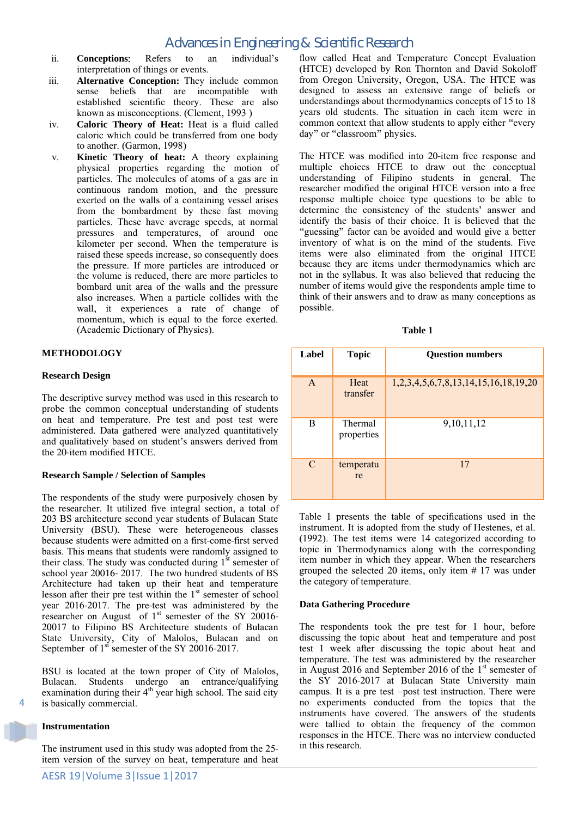- ii. **Conceptions**: Refers to an individual's interpretation of things or events.
- iii. **Alternative Conception:** They include common sense beliefs that are incompatible with established scientific theory. These are also known as misconceptions. (Clement, 1993 )
- iv. **Caloric Theory of Heat:** Heat is a fluid called caloric which could be transferred from one body to another. (Garmon, 1998)
- v. **Kinetic Theory of heat:** A theory explaining physical properties regarding the motion of particles. The molecules of atoms of a gas are in continuous random motion, and the pressure exerted on the walls of a containing vessel arises from the bombardment by these fast moving particles. These have average speeds, at normal pressures and temperatures, of around one kilometer per second. When the temperature is raised these speeds increase, so consequently does the pressure. If more particles are introduced or the volume is reduced, there are more particles to bombard unit area of the walls and the pressure also increases. When a particle collides with the wall, it experiences a rate of change of momentum, which is equal to the force exerted. (Academic Dictionary of Physics).

# **METHODOLOGY**

## **Research Design**

The descriptive survey method was used in this research to probe the common conceptual understanding of students on heat and temperature. Pre test and post test were administered. Data gathered were analyzed quantitatively and qualitatively based on student's answers derived from the 20-item modified HTCE.

## **Research Sample / Selection of Samples**

The respondents of the study were purposively chosen by the researcher. It utilized five integral section, a total of 203 BS architecture second year students of Bulacan State University (BSU). These were heterogeneous classes because students were admitted on a first-come-first served basis. This means that students were randomly assigned to their class. The study was conducted during  $1<sup>st</sup>$  semester of school year 20016- 2017. The two hundred students of BS Architecture had taken up their heat and temperature lesson after their pre test within the  $1<sup>st</sup>$  semester of school year 2016-2017. The pre-test was administered by the researcher on August of  $1<sup>st</sup>$  semester of the SY 20016-20017 to Filipino BS Architecture students of Bulacan State University, City of Malolos, Bulacan and on September of 1<sup>st</sup> semester of the SY 20016-2017.

BSU is located at the town proper of City of Malolos, Bulacan. Students undergo an entrance/qualifying examination during their  $4<sup>th</sup>$  year high school. The said city is basically commercial.

## **Instrumentation**

The instrument used in this study was adopted from the 25 item version of the survey on heat, temperature and heat flow called Heat and Temperature Concept Evaluation (HTCE) developed by Ron Thornton and David Sokoloff from Oregon University, Oregon, USA. The HTCE was designed to assess an extensive range of beliefs or understandings about thermodynamics concepts of 15 to 18 years old students. The situation in each item were in common context that allow students to apply either "every day" or "classroom" physics.

The HTCE was modified into 20-item free response and multiple choices HTCE to draw out the conceptual understanding of Filipino students in general. The researcher modified the original HTCE version into a free response multiple choice type questions to be able to determine the consistency of the students' answer and identify the basis of their choice. It is believed that the "guessing" factor can be avoided and would give a better inventory of what is on the mind of the students. Five items were also eliminated from the original HTCE because they are items under thermodynamics which are not in the syllabus. It was also believed that reducing the number of items would give the respondents ample time to think of their answers and to draw as many conceptions as possible.

| anı |  |
|-----|--|
|-----|--|

| Label         | <b>Topic</b>                 | <b>Question numbers</b>                            |
|---------------|------------------------------|----------------------------------------------------|
| $\mathsf{A}$  | Heat<br>transfer             | 1, 2, 3, 4, 5, 6, 7, 8, 13, 14, 15, 16, 18, 19, 20 |
| B             | <b>Thermal</b><br>properties | 9, 10, 11, 12                                      |
| $\mathcal{C}$ | temperatu<br>re              | 17                                                 |

Table 1 presents the table of specifications used in the instrument. It is adopted from the study of Hestenes, et al. (1992). The test items were 14 categorized according to topic in Thermodynamics along with the corresponding item number in which they appear. When the researchers grouped the selected 20 items, only item # 17 was under the category of temperature.

## **Data Gathering Procedure**

The respondents took the pre test for 1 hour, before discussing the topic about heat and temperature and post test 1 week after discussing the topic about heat and temperature. The test was administered by the researcher in August 2016 and September 2016 of the  $1<sup>st</sup>$  semester of the SY 2016-2017 at Bulacan State University main campus. It is a pre test –post test instruction. There were no experiments conducted from the topics that the instruments have covered. The answers of the students were tallied to obtain the frequency of the common responses in the HTCE. There was no interview conducted in this research.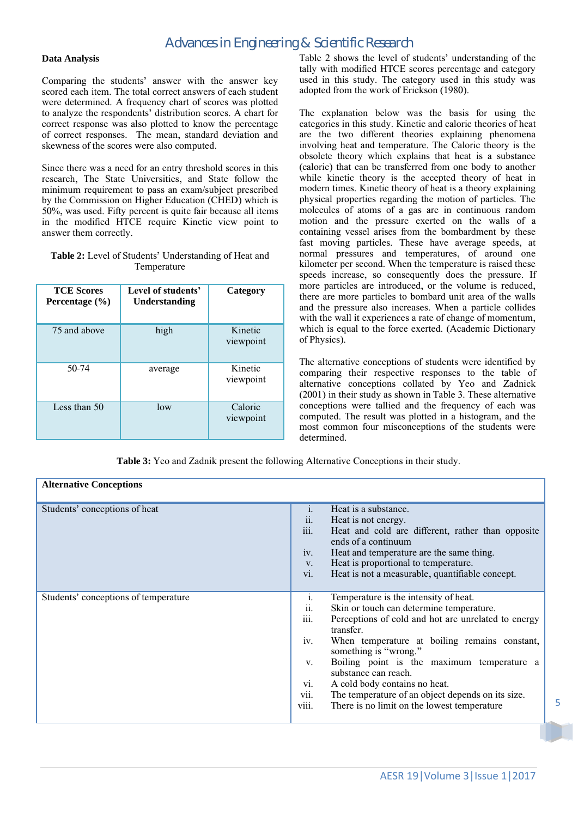#### **Data Analysis**

Comparing the students' answer with the answer key scored each item. The total correct answers of each student were determined. A frequency chart of scores was plotted to analyze the respondents' distribution scores. A chart for correct response was also plotted to know the percentage of correct responses. The mean, standard deviation and skewness of the scores were also computed.

Since there was a need for an entry threshold scores in this research, The State Universities, and State follow the minimum requirement to pass an exam/subject prescribed by the Commission on Higher Education (CHED) which is 50%, was used. Fifty percent is quite fair because all items in the modified HTCE require Kinetic view point to answer them correctly.

#### **Table 2:** Level of Students' Understanding of Heat and Temperature

| <b>TCE Scores</b><br>Percentage $(\% )$ | Level of students'<br>Understanding | Category             |
|-----------------------------------------|-------------------------------------|----------------------|
| 75 and above                            | high                                | Kinetic<br>viewpoint |
| 50-74                                   | average                             | Kinetic<br>viewpoint |
| Less than 50                            | low                                 | Caloric<br>viewpoint |

Table 2 shows the level of students' understanding of the tally with modified HTCE scores percentage and category used in this study. The category used in this study was adopted from the work of Erickson (1980).

The explanation below was the basis for using the categories in this study. Kinetic and caloric theories of heat are the two different theories explaining phenomena involving heat and temperature. The Caloric theory is the obsolete theory which explains that heat is a substance (caloric) that can be transferred from one body to another while kinetic theory is the accepted theory of heat in modern times. Kinetic theory of heat is a theory explaining physical properties regarding the motion of particles. The molecules of atoms of a gas are in continuous random motion and the pressure exerted on the walls of a containing vessel arises from the bombardment by these fast moving particles. These have average speeds, at normal pressures and temperatures, of around one kilometer per second. When the temperature is raised these speeds increase, so consequently does the pressure. If more particles are introduced, or the volume is reduced, there are more particles to bombard unit area of the walls and the pressure also increases. When a particle collides with the wall it experiences a rate of change of momentum, which is equal to the force exerted. (Academic Dictionary of Physics).

The alternative conceptions of students were identified by comparing their respective responses to the table of alternative conceptions collated by Yeo and Zadnick (2001) in their study as shown in Table 3. These alternative conceptions were tallied and the frequency of each was computed. The result was plotted in a histogram, and the most common four misconceptions of the students were determined.

**Table 3:** Yeo and Zadnik present the following Alternative Conceptions in their study.

| <b>Alternative Conceptions</b>       |                                                                                                                                                                                                                                                                                                                                                                                                                                                                                                                   |
|--------------------------------------|-------------------------------------------------------------------------------------------------------------------------------------------------------------------------------------------------------------------------------------------------------------------------------------------------------------------------------------------------------------------------------------------------------------------------------------------------------------------------------------------------------------------|
| Students' conceptions of heat        | $\mathbf{i}$ .<br>Heat is a substance.<br>Heat is not energy.<br>$\overline{11}$ .<br>iii.<br>Heat and cold are different, rather than opposite<br>ends of a continuum<br>iv.<br>Heat and temperature are the same thing.<br>Heat is proportional to temperature.<br>V.<br>vi.<br>Heat is not a measurable, quantifiable concept.                                                                                                                                                                                 |
| Students' conceptions of temperature | Temperature is the intensity of heat.<br>1.<br>Skin or touch can determine temperature.<br>11.<br>$\cdots$<br>Perceptions of cold and hot are unrelated to energy<br>111.<br>transfer.<br>iv.<br>When temperature at boiling remains constant,<br>something is "wrong."<br>Boiling point is the maximum temperature a<br>V.<br>substance can reach.<br>A cold body contains no heat.<br>vi.<br>The temperature of an object depends on its size.<br>V11.<br>viii.<br>There is no limit on the lowest temperature. |

5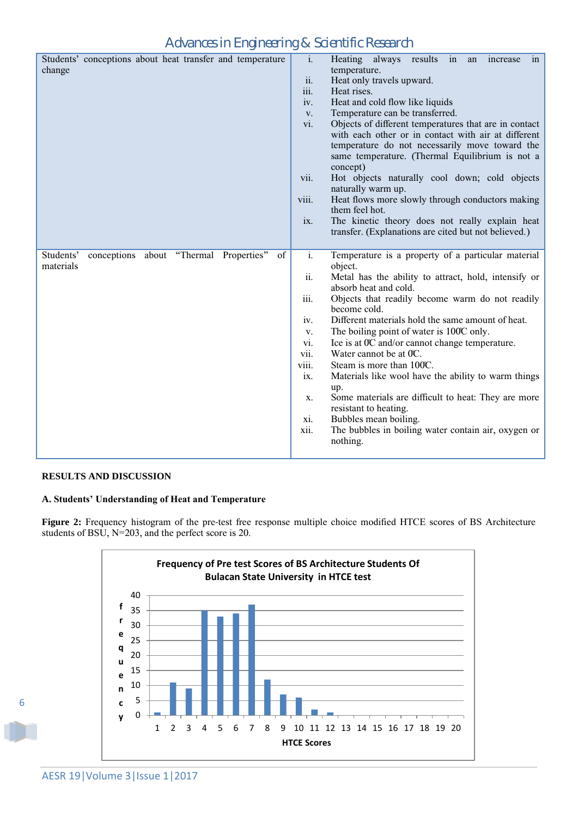| Students' conceptions about heat transfer and temperature<br>change    | $\mathbf{i}$ .<br>Heating<br>always<br>results<br>in<br>increase<br>an<br>in<br>temperature.<br>ii.<br>Heat only travels upward.<br>iii.<br>Heat rises.<br>Heat and cold flow like liquids<br>iv.<br>Temperature can be transferred.<br>V.<br>Objects of different temperatures that are in contact<br>vi.<br>with each other or in contact with air at different<br>temperature do not necessarily move toward the<br>same temperature. (Thermal Equilibrium is not a<br>concept)<br>Hot objects naturally cool down; cold objects<br>vii.<br>naturally warm up.<br>Heat flows more slowly through conductors making<br>viii.<br>them feel hot.<br>The kinetic theory does not really explain heat<br>ix.<br>transfer. (Explanations are cited but not believed.) |
|------------------------------------------------------------------------|--------------------------------------------------------------------------------------------------------------------------------------------------------------------------------------------------------------------------------------------------------------------------------------------------------------------------------------------------------------------------------------------------------------------------------------------------------------------------------------------------------------------------------------------------------------------------------------------------------------------------------------------------------------------------------------------------------------------------------------------------------------------|
| conceptions about "Thermal Properties"<br>Students'<br>of<br>materials | i.<br>Temperature is a property of a particular material<br>object.<br>Metal has the ability to attract, hold, intensify or<br>ii.<br>absorb heat and cold.<br>iii.<br>Objects that readily become warm do not readily<br>become cold.<br>Different materials hold the same amount of heat.<br>iv.<br>The boiling point of water is 100°C only.<br>V.<br>vi.<br>Ice is at 0°C and/or cannot change temperature.<br>vii.<br>Water cannot be at 0C.<br>viii.<br>Steam is more than 100°C.<br>Materials like wool have the ability to warm things<br>ix.<br>up.<br>Some materials are difficult to heat: They are more<br>X.<br>resistant to heating.<br>Bubbles mean boiling.<br>xi.<br>The bubbles in boiling water contain air, oxygen or<br>xii.<br>nothing.      |

# **RESULTS AND DISCUSSION**

# **A. Students' Understanding of Heat and Temperature**

**Figure 2:** Frequency histogram of the pre-test free response multiple choice modified HTCE scores of BS Architecture students of BSU, N=203, and the perfect score is 20.

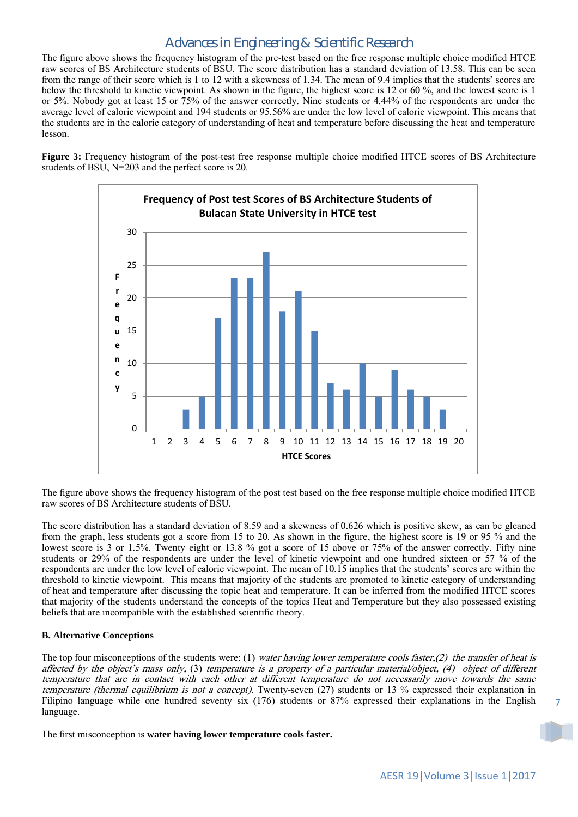The figure above shows the frequency histogram of the pre-test based on the free response multiple choice modified HTCE raw scores of BS Architecture students of BSU. The score distribution has a standard deviation of 13.58. This can be seen from the range of their score which is 1 to 12 with a skewness of 1.34. The mean of 9.4 implies that the students' scores are below the threshold to kinetic viewpoint. As shown in the figure, the highest score is 12 or 60 %, and the lowest score is 1 or 5%. Nobody got at least 15 or 75% of the answer correctly. Nine students or 4.44% of the respondents are under the average level of caloric viewpoint and 194 students or 95.56% are under the low level of caloric viewpoint. This means that the students are in the caloric category of understanding of heat and temperature before discussing the heat and temperature lesson.

**Figure 3:** Frequency histogram of the post-test free response multiple choice modified HTCE scores of BS Architecture students of BSU, N=203 and the perfect score is 20.



The figure above shows the frequency histogram of the post test based on the free response multiple choice modified HTCE raw scores of BS Architecture students of BSU.

The score distribution has a standard deviation of 8.59 and a skewness of 0.626 which is positive skew, as can be gleaned from the graph, less students got a score from 15 to 20. As shown in the figure, the highest score is 19 or 95 % and the lowest score is 3 or 1.5%. Twenty eight or 13.8 % got a score of 15 above or 75% of the answer correctly. Fifty nine students or 29% of the respondents are under the level of kinetic viewpoint and one hundred sixteen or 57 % of the respondents are under the low level of caloric viewpoint. The mean of 10.15 implies that the students' scores are within the threshold to kinetic viewpoint. This means that majority of the students are promoted to kinetic category of understanding of heat and temperature after discussing the topic heat and temperature. It can be inferred from the modified HTCE scores that majority of the students understand the concepts of the topics Heat and Temperature but they also possessed existing beliefs that are incompatible with the established scientific theory.

## **B. Alternative Conceptions**

The top four misconceptions of the students were: (1) water having lower temperature cools faster,(2) the transfer of heat is affected by the object's mass only, (3) temperature is a property of a particular material/object, (4) object of different temperature that are in contact with each other at different temperature do not necessarily move towards the same temperature (thermal equilibrium is not a concept). Twenty-seven (27) students or 13 % expressed their explanation in Filipino language while one hundred seventy six (176) students or 87% expressed their explanations in the English language.

The first misconception is **water having lower temperature cools faster.**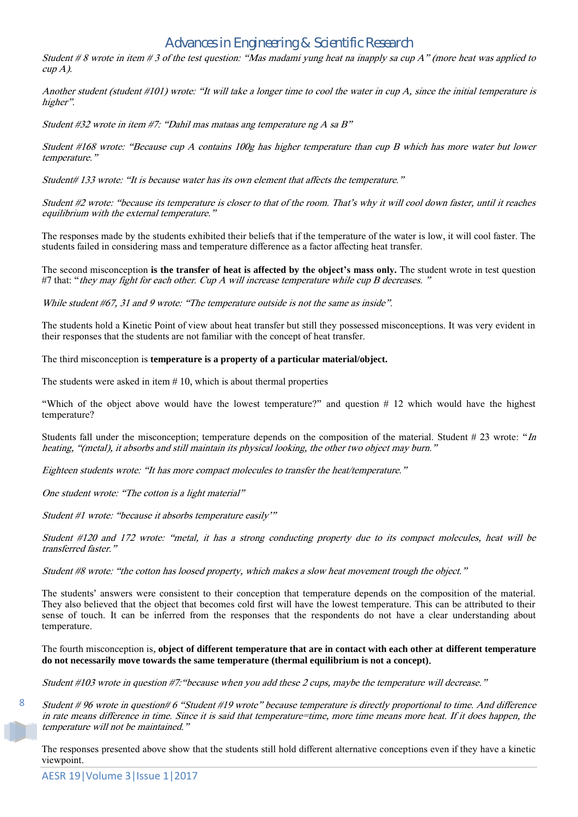Student  $\#8$  wrote in item  $\#3$  of the test question: "Mas madami yung heat na inapply sa cup A" (more heat was applied to cup A).

Another student (student #101) wrote: "It will take a longer time to cool the water in cup A, since the initial temperature is higher".

Student #32 wrote in item #7: "Dahil mas mataas ang temperature ng A sa B"

Student #168 wrote: "Because cup A contains 100g has higher temperature than cup B which has more water but lower temperature."

Student# 133 wrote: "It is because water has its own element that affects the temperature."

Student #2 wrote: "because its temperature is closer to that of the room. That's why it will cool down faster, until it reaches equilibrium with the external temperature."

The responses made by the students exhibited their beliefs that if the temperature of the water is low, it will cool faster. The students failed in considering mass and temperature difference as a factor affecting heat transfer.

The second misconception **is the transfer of heat is affected by the object's mass only.** The student wrote in test question #7 that: "they may fight for each other. Cup A will increase temperature while cup B decreases."

While student #67, 31 and 9 wrote: "The temperature outside is not the same as inside".

The students hold a Kinetic Point of view about heat transfer but still they possessed misconceptions. It was very evident in their responses that the students are not familiar with the concept of heat transfer.

The third misconception is **temperature is a property of a particular material/object.**

The students were asked in item  $# 10$ , which is about thermal properties

"Which of the object above would have the lowest temperature?" and question # 12 which would have the highest temperature?

Students fall under the misconception; temperature depends on the composition of the material. Student  $\#$  23 wrote: "In heating, "(metal), it absorbs and still maintain its physical looking, the other two object may burn."

Eighteen students wrote: "It has more compact molecules to transfer the heat/temperature."

One student wrote: "The cotton is a light material"

Student #1 wrote: "because it absorbs temperature easily'"

Student #120 and 172 wrote: "metal, it has a strong conducting property due to its compact molecules, heat will be transferred faster."

Student #8 wrote: "the cotton has loosed property, which makes a slow heat movement trough the object."

The students' answers were consistent to their conception that temperature depends on the composition of the material. They also believed that the object that becomes cold first will have the lowest temperature. This can be attributed to their sense of touch. It can be inferred from the responses that the respondents do not have a clear understanding about temperature.

The fourth misconception is, **object of different temperature that are in contact with each other at different temperature do not necessarily move towards the same temperature (thermal equilibrium is not a concept)**.

Student #103 wrote in question #7:"because when you add these 2 cups, maybe the temperature will decrease."

Student # 96 wrote in question# 6 "Student #19 wrote" because temperature is directly proportional to time. And difference in rate means difference in time. Since it is said that temperature=time, more time means more heat. If it does happen, the temperature will not be maintained."

The responses presented above show that the students still hold different alternative conceptions even if they have a kinetic viewpoint.

8